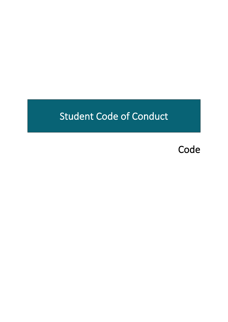# Student Code of Conduct

Code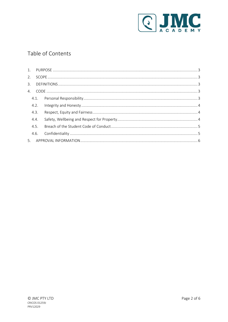

# Table of Contents

|      | 4.2. |  |  |  |  |
|------|------|--|--|--|--|
|      | 4.3. |  |  |  |  |
|      | 4.4. |  |  |  |  |
| 4.5. |      |  |  |  |  |
|      | 4.6. |  |  |  |  |
|      |      |  |  |  |  |
|      |      |  |  |  |  |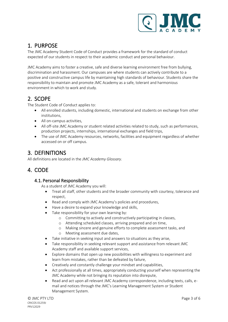

### <span id="page-2-0"></span>1. PURPOSE

The JMC Academy Student Code of Conduct provides a framework for the standard of conduct expected of our students in respect to their academic conduct and personal behaviour.

JMC Academy aims to foster a creative, safe and diverse learning environment free from bullying, discrimination and harassment. Our campuses are where students can actively contribute to a positive and constructive campus life by maintaining high standards of behaviour. Students share the responsibility to maintain and promote JMC Academy as a safe, tolerant and harmonious environment in which to work and study.

## <span id="page-2-1"></span>2. SCOPE

The Student Code of Conduct applies to:

- All enrolled students, including domestic, international and students on exchange from other institutions,
- All on-campus activities,
- All off-site JMC Academy or student related activities related to study, such as performances, production projects, internships, international exchanges and field trips,
- The use of JMC Academy resources, networks, facilities and equipment regardless of whether accessed on or off campus.

## <span id="page-2-2"></span>3. DEFINITIONS

All definitions are located in the *JMC Academy Glossary.*

## <span id="page-2-4"></span><span id="page-2-3"></span>4. CODE

#### 4.1. Personal Responsibility

As a student of JMC Academy you will:

- Treat all staff, other students and the broader community with courtesy, tolerance and respect,
- Read and comply with JMC Academy's policies and procedures,
- Have a desire to expand your knowledge and skills,
- Take responsibility for your own learning by:
	- o Committing to actively and constructively participating in classes,
	- o Attending scheduled classes, arriving prepared and on time,
	- o Making sincere and genuine efforts to complete assessment tasks, and
	- o Meeting assessment due dates,
- Take initiative in seeking input and answers to situations as they arise,
- Take responsibility in seeking relevant support and assistance from relevant JMC Academy staff and available support services,
- Explore domains that open up new possibilities with willingness to experiment and learn from mistakes, rather than be defeated by failure,
- Creatively and constantly challenge your mindset and capabilities,
- Act professionally at all times, appropriately conducting yourself when representing the JMC Academy while not bringing its reputation into disrepute,
- Read and act upon all relevant JMC Academy correspondence, including texts, calls, email and notices through the JMC's Learning Management System or Student Management System.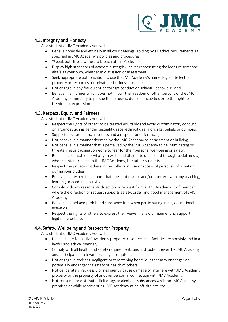

#### <span id="page-3-0"></span>4.2. Integrity and Honesty

As a student of JMC Academy you will:

- Behave honestly and ethically in all your dealings, abiding by all ethics requirements as specified in JMC Academy's policies and procedures,
- "Speak out" if you witness a breach of this Code,
- Display high standards of academic integrity, never representing the ideas of someone else's as your own, whether in discussion or assessment,
- Seek appropriate authorisation to use the JMC Academy's name, logo, intellectual property or resources for private or business purposes,
- Not engage in any fraudulent or corrupt conduct or unlawful behaviour, and
- Behave in a manner which does not impair the freedom of other persons of the JMC Academy community to pursue their studies, duties or activities or to the right to freedom of expression.

#### <span id="page-3-1"></span>4.3. Respect, Equity and Fairness

As a student of JMC Academy you will:

- Respect the rights of others to be treated equitably and avoid discriminatory conduct on grounds such as gender, sexuality, race, ethnicity, religion, age, beliefs or opinions,
- Support a culture of inclusiveness and a respect for differences,
- Not behave in a manner deemed by the JMC Academy as harassment or bullying,
- Not behave in a manner that is perceived by the JMC Academy to be intimidating or threatening or causing someone to fear for their personal well-being or safety,
- Be held accountable for what you write and distribute online and through social media, where content relates to the JMC Academy, its staff or students,
- Respect the privacy of others in the collection, use or access of personal information during your studies,
- Behave in a respectful manner that does not disrupt and/or interfere with any teaching, learning or academic activity,
- Comply with any reasonable direction or request from a JMC Academy staff member where the direction or request supports safety, order and good management of JMC Academy,
- Remain alcohol and prohibited substance free when participating in any educational activities,
- Respect the rights of others to express their views in a lawful manner and support legitimate debate.

#### <span id="page-3-2"></span>4.4. Safety, Wellbeing and Respect for Property

As a student of JMC Academy you will:

- Use and care for all JMC Academy property, resources and facilities responsibly and in a lawful and ethical manner,
- Comply with all health and safety requirements and instructions given by JMC Academy and participate in relevant training as required,
- Not engage in reckless, negligent or threatening behaviour that may endanger or potentially endanger the safety or health of others,
- Not deliberately, recklessly or negligently cause damage or interfere with JMC Academy property or the property of another person in connection with JMC Academy,
- Not consume or distribute illicit drugs or alcoholic substances while on JMC Academy premises or while representing JMC Academy at an off-site activity.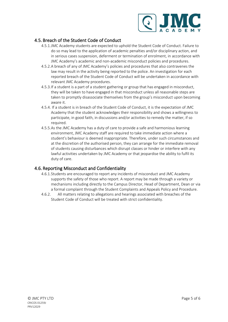

#### <span id="page-4-0"></span>4.5. Breach of the Student Code of Conduct

- 4.5.1.JMC Academy students are expected to uphold the Student Code of Conduct. Failure to do so may lead to the application of academic penalties and/or disciplinary action, and in serious cases suspension, deferment or termination of enrolment, in accordance with JMC Academy's academic and non-academic misconduct policies and procedures.
- 4.5.2.A breach of any of JMC Academy's policies and procedures that also contravenes the law may result in the activity being reported to the police. An investigation for each reported breach of the Student Code of Conduct will be undertaken in accordance with relevant JMC Academy procedures.
- 4.5.3.If a student is a part of a student gathering or group that has engaged in misconduct, they will be taken to have engaged in that misconduct unless all reasonable steps are taken to promptly disassociate themselves from the group's misconduct upon becoming aware it.
- 4.5.4. If a student is in breach of the Student Code of Conduct, it is the expectation of JMC Academy that the student acknowledges their responsibility and shows a willingness to participate, in good faith, in discussions and/or activities to remedy the matter, if so required.
- 4.5.5.As the JMC Academy has a duty of care to provide a safe and harmonious learning environment, JMC Academy staff are required to take immediate action where a student's behaviour is deemed inappropriate. Therefore, under such circumstances and at the discretion of the authorised person, they can arrange for the immediate removal of students causing disturbances which disrupt classes or hinder or interfere with any lawful activities undertaken by JMC Academy or that jeopardise the ability to fulfil its duty of care.

#### <span id="page-4-1"></span>4.6. Reporting Misconduct and Confidentiality

- 4.6.1.Students are encouraged to report any incidents of misconduct and JMC Academy supports the safety of those who report. A report may be made through a variety or mechanisms including directly to the Campus Director, Head of Department, Dean or via a formal complaint through the Student Complaints and Appeals Policy and Procedure.
- 4.6.2. All matters relating to allegations and hearings associated with breaches of the Student Code of Conduct will be treated with strict confidentiality.